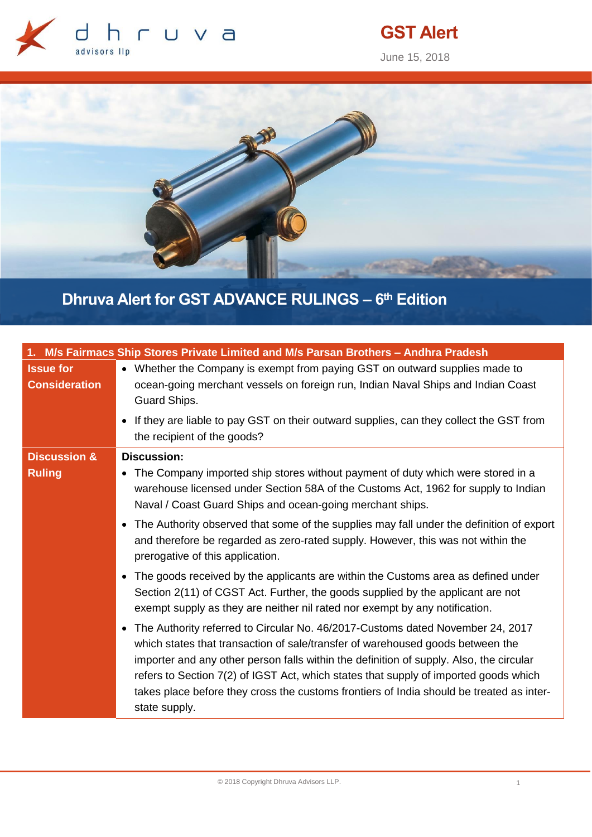

# **GST Alert**

June 15, 2018



## **Dhruva Alert for GST ADVANCE RULINGS – 6 th Edition**

|                                          | 1. M/s Fairmacs Ship Stores Private Limited and M/s Parsan Brothers - Andhra Pradesh                                                                                                                                                                                                                                                                                                                                                                               |
|------------------------------------------|--------------------------------------------------------------------------------------------------------------------------------------------------------------------------------------------------------------------------------------------------------------------------------------------------------------------------------------------------------------------------------------------------------------------------------------------------------------------|
| <b>Issue for</b><br><b>Consideration</b> | • Whether the Company is exempt from paying GST on outward supplies made to<br>ocean-going merchant vessels on foreign run, Indian Naval Ships and Indian Coast<br>Guard Ships.                                                                                                                                                                                                                                                                                    |
|                                          | • If they are liable to pay GST on their outward supplies, can they collect the GST from<br>the recipient of the goods?                                                                                                                                                                                                                                                                                                                                            |
| <b>Discussion &amp;</b>                  | <b>Discussion:</b>                                                                                                                                                                                                                                                                                                                                                                                                                                                 |
| <b>Ruling</b>                            | • The Company imported ship stores without payment of duty which were stored in a<br>warehouse licensed under Section 58A of the Customs Act, 1962 for supply to Indian<br>Naval / Coast Guard Ships and ocean-going merchant ships.                                                                                                                                                                                                                               |
|                                          | • The Authority observed that some of the supplies may fall under the definition of export<br>and therefore be regarded as zero-rated supply. However, this was not within the<br>prerogative of this application.                                                                                                                                                                                                                                                 |
|                                          | • The goods received by the applicants are within the Customs area as defined under<br>Section 2(11) of CGST Act. Further, the goods supplied by the applicant are not<br>exempt supply as they are neither nil rated nor exempt by any notification.                                                                                                                                                                                                              |
|                                          | • The Authority referred to Circular No. 46/2017-Customs dated November 24, 2017<br>which states that transaction of sale/transfer of warehoused goods between the<br>importer and any other person falls within the definition of supply. Also, the circular<br>refers to Section 7(2) of IGST Act, which states that supply of imported goods which<br>takes place before they cross the customs frontiers of India should be treated as inter-<br>state supply. |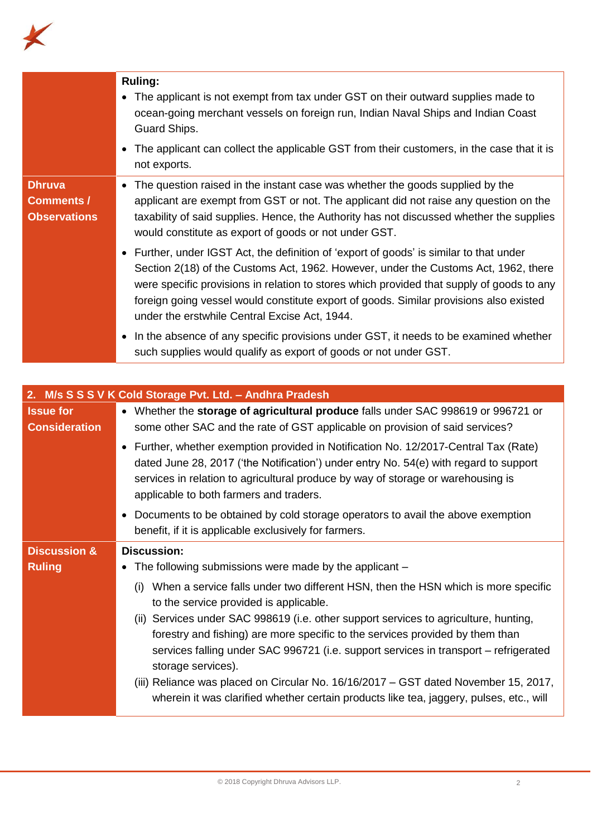

|                                                           | <b>Ruling:</b><br>The applicant is not exempt from tax under GST on their outward supplies made to<br>$\bullet$<br>ocean-going merchant vessels on foreign run, Indian Naval Ships and Indian Coast<br>Guard Ships.<br>• The applicant can collect the applicable GST from their customers, in the case that it is<br>not exports.                                                                                     |
|-----------------------------------------------------------|------------------------------------------------------------------------------------------------------------------------------------------------------------------------------------------------------------------------------------------------------------------------------------------------------------------------------------------------------------------------------------------------------------------------|
| <b>Dhruva</b><br><b>Comments /</b><br><b>Observations</b> | The question raised in the instant case was whether the goods supplied by the<br>applicant are exempt from GST or not. The applicant did not raise any question on the<br>taxability of said supplies. Hence, the Authority has not discussed whether the supplies<br>would constitute as export of goods or not under GST.                                                                                            |
|                                                           | • Further, under IGST Act, the definition of 'export of goods' is similar to that under<br>Section 2(18) of the Customs Act, 1962. However, under the Customs Act, 1962, there<br>were specific provisions in relation to stores which provided that supply of goods to any<br>foreign going vessel would constitute export of goods. Similar provisions also existed<br>under the erstwhile Central Excise Act, 1944. |
|                                                           | • In the absence of any specific provisions under GST, it needs to be examined whether<br>such supplies would qualify as export of goods or not under GST.                                                                                                                                                                                                                                                             |

| <b>Issue for</b><br>• Whether the storage of agricultural produce falls under SAC 998619 or 996721 or<br><b>Consideration</b><br>some other SAC and the rate of GST applicable on provision of said services?<br>Further, whether exemption provided in Notification No. 12/2017-Central Tax (Rate)<br>$\bullet$<br>dated June 28, 2017 ('the Notification') under entry No. 54(e) with regard to support<br>services in relation to agricultural produce by way of storage or warehousing is<br>applicable to both farmers and traders.<br>Documents to be obtained by cold storage operators to avail the above exemption<br>$\bullet$<br>benefit, if it is applicable exclusively for farmers.<br><b>Discussion &amp;</b><br><b>Discussion:</b><br><b>Ruling</b><br>• The following submissions were made by the applicant $-$<br>When a service falls under two different HSN, then the HSN which is more specific<br>(i)<br>to the service provided is applicable.<br>(ii) Services under SAC 998619 (i.e. other support services to agriculture, hunting,<br>forestry and fishing) are more specific to the services provided by them than<br>services falling under SAC 996721 (i.e. support services in transport - refrigerated<br>storage services).<br>(iii) Reliance was placed on Circular No. 16/16/2017 - GST dated November 15, 2017, | 2. M/s S S S V K Cold Storage Pvt. Ltd. - Andhra Pradesh                                |  |
|-------------------------------------------------------------------------------------------------------------------------------------------------------------------------------------------------------------------------------------------------------------------------------------------------------------------------------------------------------------------------------------------------------------------------------------------------------------------------------------------------------------------------------------------------------------------------------------------------------------------------------------------------------------------------------------------------------------------------------------------------------------------------------------------------------------------------------------------------------------------------------------------------------------------------------------------------------------------------------------------------------------------------------------------------------------------------------------------------------------------------------------------------------------------------------------------------------------------------------------------------------------------------------------------------------------------------------------------------------|-----------------------------------------------------------------------------------------|--|
|                                                                                                                                                                                                                                                                                                                                                                                                                                                                                                                                                                                                                                                                                                                                                                                                                                                                                                                                                                                                                                                                                                                                                                                                                                                                                                                                                       |                                                                                         |  |
|                                                                                                                                                                                                                                                                                                                                                                                                                                                                                                                                                                                                                                                                                                                                                                                                                                                                                                                                                                                                                                                                                                                                                                                                                                                                                                                                                       |                                                                                         |  |
|                                                                                                                                                                                                                                                                                                                                                                                                                                                                                                                                                                                                                                                                                                                                                                                                                                                                                                                                                                                                                                                                                                                                                                                                                                                                                                                                                       |                                                                                         |  |
|                                                                                                                                                                                                                                                                                                                                                                                                                                                                                                                                                                                                                                                                                                                                                                                                                                                                                                                                                                                                                                                                                                                                                                                                                                                                                                                                                       |                                                                                         |  |
|                                                                                                                                                                                                                                                                                                                                                                                                                                                                                                                                                                                                                                                                                                                                                                                                                                                                                                                                                                                                                                                                                                                                                                                                                                                                                                                                                       |                                                                                         |  |
|                                                                                                                                                                                                                                                                                                                                                                                                                                                                                                                                                                                                                                                                                                                                                                                                                                                                                                                                                                                                                                                                                                                                                                                                                                                                                                                                                       |                                                                                         |  |
|                                                                                                                                                                                                                                                                                                                                                                                                                                                                                                                                                                                                                                                                                                                                                                                                                                                                                                                                                                                                                                                                                                                                                                                                                                                                                                                                                       |                                                                                         |  |
|                                                                                                                                                                                                                                                                                                                                                                                                                                                                                                                                                                                                                                                                                                                                                                                                                                                                                                                                                                                                                                                                                                                                                                                                                                                                                                                                                       | wherein it was clarified whether certain products like tea, jaggery, pulses, etc., will |  |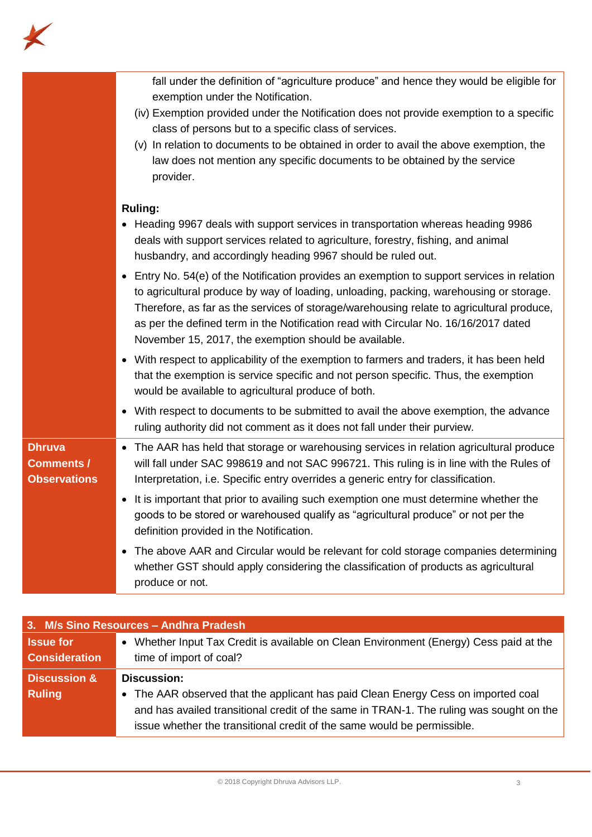

|                                                           | fall under the definition of "agriculture produce" and hence they would be eligible for<br>exemption under the Notification.<br>(iv) Exemption provided under the Notification does not provide exemption to a specific<br>class of persons but to a specific class of services.<br>(v) In relation to documents to be obtained in order to avail the above exemption, the<br>law does not mention any specific documents to be obtained by the service<br>provider. |
|-----------------------------------------------------------|----------------------------------------------------------------------------------------------------------------------------------------------------------------------------------------------------------------------------------------------------------------------------------------------------------------------------------------------------------------------------------------------------------------------------------------------------------------------|
|                                                           | <b>Ruling:</b><br>• Heading 9967 deals with support services in transportation whereas heading 9986<br>deals with support services related to agriculture, forestry, fishing, and animal<br>husbandry, and accordingly heading 9967 should be ruled out.                                                                                                                                                                                                             |
|                                                           | • Entry No. 54(e) of the Notification provides an exemption to support services in relation<br>to agricultural produce by way of loading, unloading, packing, warehousing or storage.<br>Therefore, as far as the services of storage/warehousing relate to agricultural produce,<br>as per the defined term in the Notification read with Circular No. 16/16/2017 dated<br>November 15, 2017, the exemption should be available.                                    |
|                                                           | • With respect to applicability of the exemption to farmers and traders, it has been held<br>that the exemption is service specific and not person specific. Thus, the exemption<br>would be available to agricultural produce of both.                                                                                                                                                                                                                              |
|                                                           | • With respect to documents to be submitted to avail the above exemption, the advance<br>ruling authority did not comment as it does not fall under their purview.                                                                                                                                                                                                                                                                                                   |
| <b>Dhruva</b><br><b>Comments /</b><br><b>Observations</b> | • The AAR has held that storage or warehousing services in relation agricultural produce<br>will fall under SAC 998619 and not SAC 996721. This ruling is in line with the Rules of<br>Interpretation, i.e. Specific entry overrides a generic entry for classification.                                                                                                                                                                                             |
|                                                           | • It is important that prior to availing such exemption one must determine whether the<br>goods to be stored or warehoused qualify as "agricultural produce" or not per the<br>definition provided in the Notification.                                                                                                                                                                                                                                              |
|                                                           | The above AAR and Circular would be relevant for cold storage companies determining<br>whether GST should apply considering the classification of products as agricultural<br>produce or not.                                                                                                                                                                                                                                                                        |

| 3. M/s Sino Resources - Andhra Pradesh |                                                                                         |
|----------------------------------------|-----------------------------------------------------------------------------------------|
| <b>Issue for</b>                       | • Whether Input Tax Credit is available on Clean Environment (Energy) Cess paid at the  |
| <b>Consideration</b>                   | time of import of coal?                                                                 |
| <b>Discussion &amp;</b>                | <b>Discussion:</b>                                                                      |
| <b>Ruling</b>                          | • The AAR observed that the applicant has paid Clean Energy Cess on imported coal       |
|                                        | and has availed transitional credit of the same in TRAN-1. The ruling was sought on the |
|                                        | issue whether the transitional credit of the same would be permissible.                 |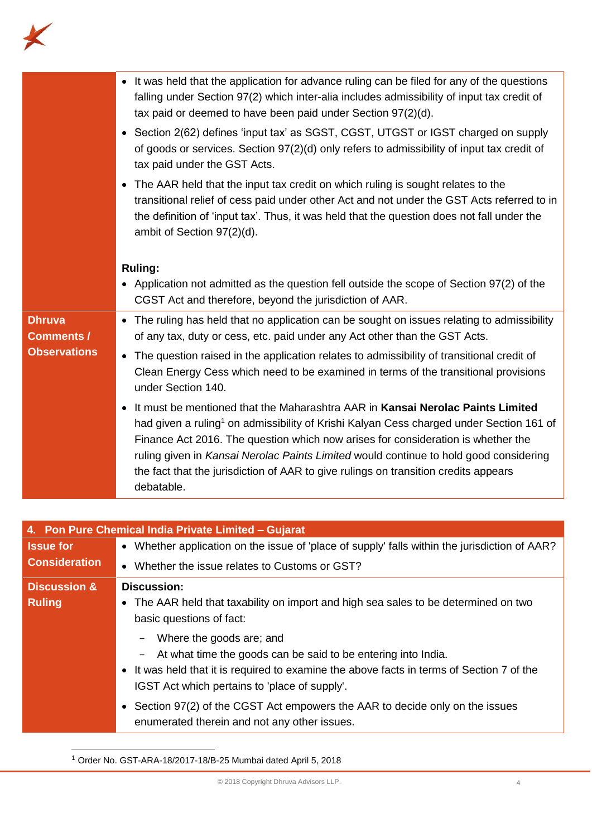

|                                    | • It was held that the application for advance ruling can be filed for any of the questions<br>falling under Section 97(2) which inter-alia includes admissibility of input tax credit of<br>tax paid or deemed to have been paid under Section 97(2)(d).                                                                                                                                                                                                                 |
|------------------------------------|---------------------------------------------------------------------------------------------------------------------------------------------------------------------------------------------------------------------------------------------------------------------------------------------------------------------------------------------------------------------------------------------------------------------------------------------------------------------------|
|                                    | • Section 2(62) defines 'input tax' as SGST, CGST, UTGST or IGST charged on supply<br>of goods or services. Section 97(2)(d) only refers to admissibility of input tax credit of<br>tax paid under the GST Acts.                                                                                                                                                                                                                                                          |
|                                    | • The AAR held that the input tax credit on which ruling is sought relates to the<br>transitional relief of cess paid under other Act and not under the GST Acts referred to in<br>the definition of 'input tax'. Thus, it was held that the question does not fall under the<br>ambit of Section 97(2)(d).                                                                                                                                                               |
|                                    | <b>Ruling:</b>                                                                                                                                                                                                                                                                                                                                                                                                                                                            |
|                                    | • Application not admitted as the question fell outside the scope of Section 97(2) of the<br>CGST Act and therefore, beyond the jurisdiction of AAR.                                                                                                                                                                                                                                                                                                                      |
| <b>Dhruva</b><br><b>Comments /</b> | • The ruling has held that no application can be sought on issues relating to admissibility<br>of any tax, duty or cess, etc. paid under any Act other than the GST Acts.                                                                                                                                                                                                                                                                                                 |
| <b>Observations</b>                | • The question raised in the application relates to admissibility of transitional credit of<br>Clean Energy Cess which need to be examined in terms of the transitional provisions<br>under Section 140.                                                                                                                                                                                                                                                                  |
|                                    | • It must be mentioned that the Maharashtra AAR in Kansai Nerolac Paints Limited<br>had given a ruling <sup>1</sup> on admissibility of Krishi Kalyan Cess charged under Section 161 of<br>Finance Act 2016. The question which now arises for consideration is whether the<br>ruling given in Kansai Nerolac Paints Limited would continue to hold good considering<br>the fact that the jurisdiction of AAR to give rulings on transition credits appears<br>debatable. |

| 4. Pon Pure Chemical India Private Limited - Gujarat |                                                                                               |
|------------------------------------------------------|-----------------------------------------------------------------------------------------------|
| <b>Issue for</b>                                     | • Whether application on the issue of 'place of supply' falls within the jurisdiction of AAR? |
| <b>Consideration</b>                                 | Whether the issue relates to Customs or GST?                                                  |
| <b>Discussion &amp;</b>                              | <b>Discussion:</b>                                                                            |
| <b>Ruling</b>                                        | • The AAR held that taxability on import and high sea sales to be determined on two           |
|                                                      | basic questions of fact:                                                                      |
|                                                      | Where the goods are; and<br>$\qquad \qquad -$                                                 |
|                                                      | At what time the goods can be said to be entering into India.<br>$\overline{\phantom{a}}$     |
|                                                      | • It was held that it is required to examine the above facts in terms of Section 7 of the     |
|                                                      | IGST Act which pertains to 'place of supply'.                                                 |
|                                                      | • Section 97(2) of the CGST Act empowers the AAR to decide only on the issues                 |
|                                                      | enumerated therein and not any other issues.                                                  |
|                                                      |                                                                                               |

<sup>1</sup> Order No. GST-ARA-18/2017-18/B-25 Mumbai dated April 5, 2018

 $\overline{a}$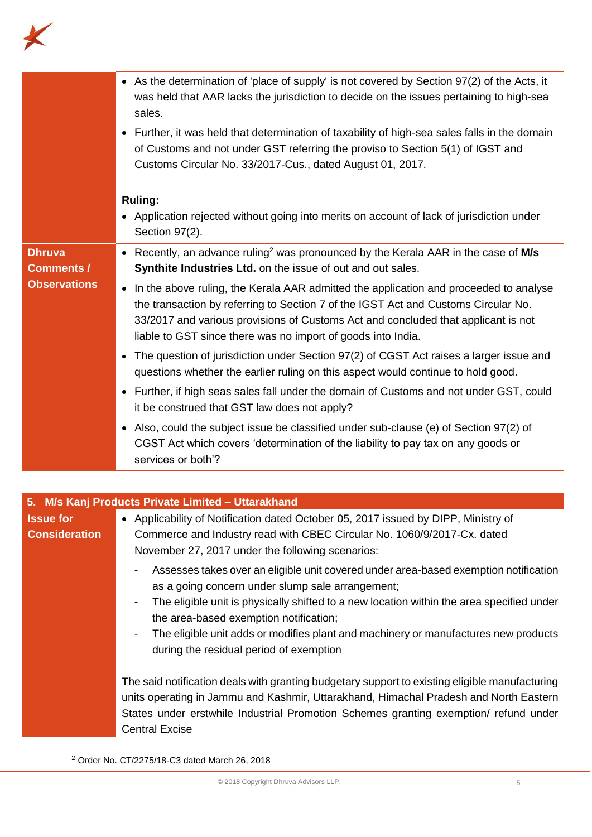

|                                    | • As the determination of 'place of supply' is not covered by Section 97(2) of the Acts, it<br>was held that AAR lacks the jurisdiction to decide on the issues pertaining to high-sea<br>sales.                                                                                                                                              |
|------------------------------------|-----------------------------------------------------------------------------------------------------------------------------------------------------------------------------------------------------------------------------------------------------------------------------------------------------------------------------------------------|
|                                    | • Further, it was held that determination of taxability of high-sea sales falls in the domain<br>of Customs and not under GST referring the proviso to Section 5(1) of IGST and<br>Customs Circular No. 33/2017-Cus., dated August 01, 2017.                                                                                                  |
|                                    | <b>Ruling:</b>                                                                                                                                                                                                                                                                                                                                |
|                                    | • Application rejected without going into merits on account of lack of jurisdiction under<br>Section 97(2).                                                                                                                                                                                                                                   |
| <b>Dhruva</b><br><b>Comments /</b> | • Recently, an advance ruling <sup>2</sup> was pronounced by the Kerala AAR in the case of M/s<br>Synthite Industries Ltd. on the issue of out and out sales.                                                                                                                                                                                 |
| <b>Observations</b>                | In the above ruling, the Kerala AAR admitted the application and proceeded to analyse<br>$\bullet$<br>the transaction by referring to Section 7 of the IGST Act and Customs Circular No.<br>33/2017 and various provisions of Customs Act and concluded that applicant is not<br>liable to GST since there was no import of goods into India. |
|                                    | • The question of jurisdiction under Section 97(2) of CGST Act raises a larger issue and<br>questions whether the earlier ruling on this aspect would continue to hold good.                                                                                                                                                                  |
|                                    | • Further, if high seas sales fall under the domain of Customs and not under GST, could<br>it be construed that GST law does not apply?                                                                                                                                                                                                       |
|                                    | • Also, could the subject issue be classified under sub-clause (e) of Section 97(2) of<br>CGST Act which covers 'determination of the liability to pay tax on any goods or<br>services or both'?                                                                                                                                              |

|                      | 5. M/s Kanj Products Private Limited - Uttarakhand                                                                                                                                                                                                                                                                                                                                                                                                                      |
|----------------------|-------------------------------------------------------------------------------------------------------------------------------------------------------------------------------------------------------------------------------------------------------------------------------------------------------------------------------------------------------------------------------------------------------------------------------------------------------------------------|
| <b>Issue for</b>     | • Applicability of Notification dated October 05, 2017 issued by DIPP, Ministry of                                                                                                                                                                                                                                                                                                                                                                                      |
| <b>Consideration</b> | Commerce and Industry read with CBEC Circular No. 1060/9/2017-Cx. dated<br>November 27, 2017 under the following scenarios:                                                                                                                                                                                                                                                                                                                                             |
|                      | Assesses takes over an eligible unit covered under area-based exemption notification<br>$\blacksquare$<br>as a going concern under slump sale arrangement;<br>The eligible unit is physically shifted to a new location within the area specified under<br>$\blacksquare$<br>the area-based exemption notification;<br>The eligible unit adds or modifies plant and machinery or manufactures new products<br>$\blacksquare$<br>during the residual period of exemption |
|                      | The said notification deals with granting budgetary support to existing eligible manufacturing<br>units operating in Jammu and Kashmir, Uttarakhand, Himachal Pradesh and North Eastern<br>States under erstwhile Industrial Promotion Schemes granting exemption/ refund under<br><b>Central Excise</b>                                                                                                                                                                |

<sup>2</sup> Order No. CT/2275/18-C3 dated March 26, 2018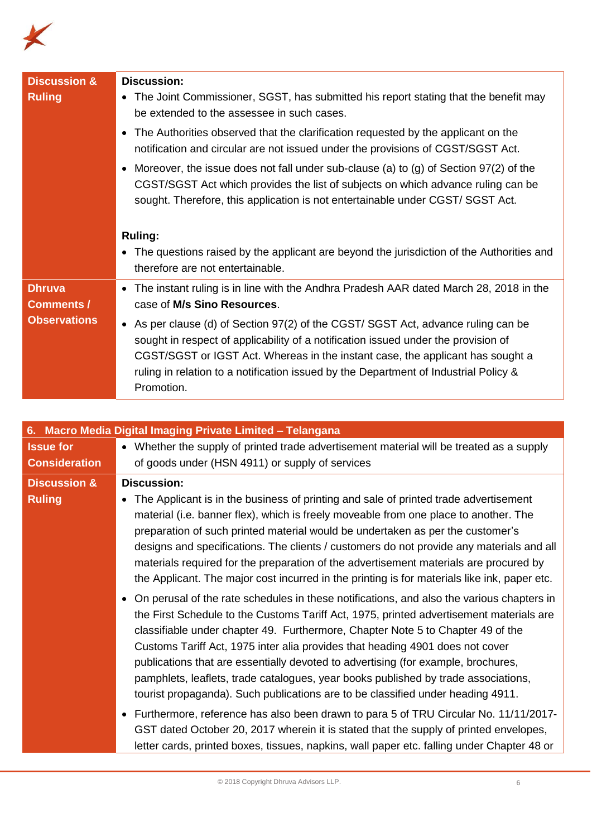

| <b>Discussion &amp;</b><br><b>Ruling</b> | <b>Discussion:</b><br>• The Joint Commissioner, SGST, has submitted his report stating that the benefit may<br>be extended to the assessee in such cases.                                                                                                                                                                                                       |
|------------------------------------------|-----------------------------------------------------------------------------------------------------------------------------------------------------------------------------------------------------------------------------------------------------------------------------------------------------------------------------------------------------------------|
|                                          | • The Authorities observed that the clarification requested by the applicant on the<br>notification and circular are not issued under the provisions of CGST/SGST Act.                                                                                                                                                                                          |
|                                          | Moreover, the issue does not fall under sub-clause (a) to (g) of Section $97(2)$ of the<br>$\bullet$<br>CGST/SGST Act which provides the list of subjects on which advance ruling can be<br>sought. Therefore, this application is not entertainable under CGST/SGST Act.                                                                                       |
|                                          | <b>Ruling:</b>                                                                                                                                                                                                                                                                                                                                                  |
|                                          | • The questions raised by the applicant are beyond the jurisdiction of the Authorities and<br>therefore are not entertainable.                                                                                                                                                                                                                                  |
| <b>Dhruva</b><br><b>Comments /</b>       | • The instant ruling is in line with the Andhra Pradesh AAR dated March 28, 2018 in the<br>case of M/s Sino Resources.                                                                                                                                                                                                                                          |
| <b>Observations</b>                      | • As per clause (d) of Section 97(2) of the CGST/ SGST Act, advance ruling can be<br>sought in respect of applicability of a notification issued under the provision of<br>CGST/SGST or IGST Act. Whereas in the instant case, the applicant has sought a<br>ruling in relation to a notification issued by the Department of Industrial Policy &<br>Promotion. |

|                                          | 6. Macro Media Digital Imaging Private Limited - Telangana                                                                                                                                                                                                                                                                                                                                                                                                                                                                                                                                                                                                                                                                                                                                                                                                                                                                                                                                                                   |
|------------------------------------------|------------------------------------------------------------------------------------------------------------------------------------------------------------------------------------------------------------------------------------------------------------------------------------------------------------------------------------------------------------------------------------------------------------------------------------------------------------------------------------------------------------------------------------------------------------------------------------------------------------------------------------------------------------------------------------------------------------------------------------------------------------------------------------------------------------------------------------------------------------------------------------------------------------------------------------------------------------------------------------------------------------------------------|
| <b>Issue for</b><br><b>Consideration</b> | • Whether the supply of printed trade advertisement material will be treated as a supply<br>of goods under (HSN 4911) or supply of services                                                                                                                                                                                                                                                                                                                                                                                                                                                                                                                                                                                                                                                                                                                                                                                                                                                                                  |
| <b>Discussion &amp;</b><br><b>Ruling</b> | <b>Discussion:</b><br>The Applicant is in the business of printing and sale of printed trade advertisement<br>material (i.e. banner flex), which is freely moveable from one place to another. The<br>preparation of such printed material would be undertaken as per the customer's<br>designs and specifications. The clients / customers do not provide any materials and all<br>materials required for the preparation of the advertisement materials are procured by<br>the Applicant. The major cost incurred in the printing is for materials like ink, paper etc.<br>• On perusal of the rate schedules in these notifications, and also the various chapters in<br>the First Schedule to the Customs Tariff Act, 1975, printed advertisement materials are<br>classifiable under chapter 49. Furthermore, Chapter Note 5 to Chapter 49 of the<br>Customs Tariff Act, 1975 inter alia provides that heading 4901 does not cover<br>publications that are essentially devoted to advertising (for example, brochures, |
|                                          | pamphlets, leaflets, trade catalogues, year books published by trade associations,<br>tourist propaganda). Such publications are to be classified under heading 4911.<br>• Furthermore, reference has also been drawn to para 5 of TRU Circular No. 11/11/2017-<br>GST dated October 20, 2017 wherein it is stated that the supply of printed envelopes,<br>letter cards, printed boxes, tissues, napkins, wall paper etc. falling under Chapter 48 or                                                                                                                                                                                                                                                                                                                                                                                                                                                                                                                                                                       |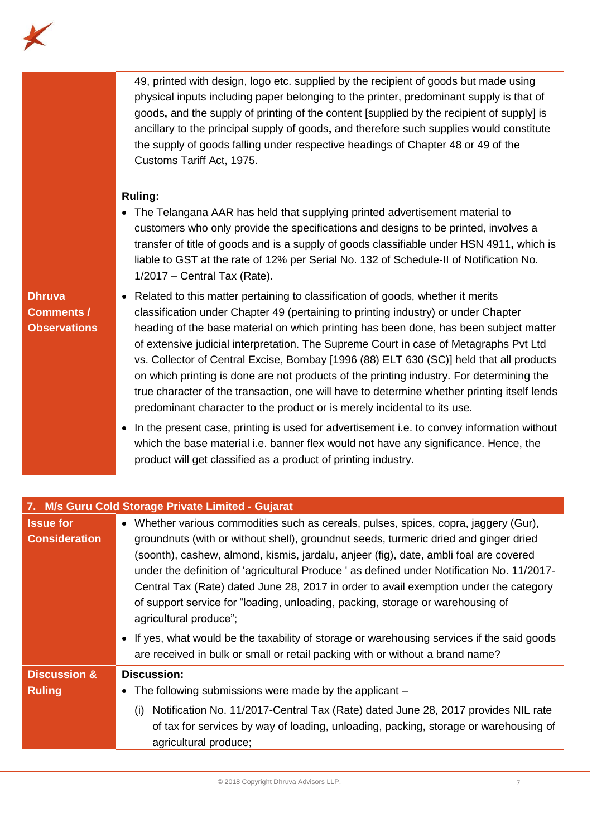

|                                                           | 49, printed with design, logo etc. supplied by the recipient of goods but made using<br>physical inputs including paper belonging to the printer, predominant supply is that of<br>goods, and the supply of printing of the content [supplied by the recipient of supply] is<br>ancillary to the principal supply of goods, and therefore such supplies would constitute<br>the supply of goods falling under respective headings of Chapter 48 or 49 of the<br>Customs Tariff Act, 1975.<br><b>Ruling:</b><br>• The Telangana AAR has held that supplying printed advertisement material to<br>customers who only provide the specifications and designs to be printed, involves a<br>transfer of title of goods and is a supply of goods classifiable under HSN 4911, which is<br>liable to GST at the rate of 12% per Serial No. 132 of Schedule-II of Notification No. |
|-----------------------------------------------------------|----------------------------------------------------------------------------------------------------------------------------------------------------------------------------------------------------------------------------------------------------------------------------------------------------------------------------------------------------------------------------------------------------------------------------------------------------------------------------------------------------------------------------------------------------------------------------------------------------------------------------------------------------------------------------------------------------------------------------------------------------------------------------------------------------------------------------------------------------------------------------|
|                                                           | $1/2017$ – Central Tax (Rate).                                                                                                                                                                                                                                                                                                                                                                                                                                                                                                                                                                                                                                                                                                                                                                                                                                             |
| <b>Dhruva</b><br><b>Comments /</b><br><b>Observations</b> | • Related to this matter pertaining to classification of goods, whether it merits<br>classification under Chapter 49 (pertaining to printing industry) or under Chapter<br>heading of the base material on which printing has been done, has been subject matter<br>of extensive judicial interpretation. The Supreme Court in case of Metagraphs Pvt Ltd<br>vs. Collector of Central Excise, Bombay [1996 (88) ELT 630 (SC)] held that all products<br>on which printing is done are not products of the printing industry. For determining the<br>true character of the transaction, one will have to determine whether printing itself lends<br>predominant character to the product or is merely incidental to its use.                                                                                                                                                |
|                                                           | In the present case, printing is used for advertisement i.e. to convey information without<br>$\bullet$<br>which the base material i.e. banner flex would not have any significance. Hence, the<br>product will get classified as a product of printing industry.                                                                                                                                                                                                                                                                                                                                                                                                                                                                                                                                                                                                          |

| 7. M/s Guru Cold Storage Private Limited - Gujarat |                                                                                                                                                                                                                                                                                                                                                                                                                                                                                                                                                                          |  |
|----------------------------------------------------|--------------------------------------------------------------------------------------------------------------------------------------------------------------------------------------------------------------------------------------------------------------------------------------------------------------------------------------------------------------------------------------------------------------------------------------------------------------------------------------------------------------------------------------------------------------------------|--|
| <b>Issue for</b><br><b>Consideration</b>           | • Whether various commodities such as cereals, pulses, spices, copra, jaggery (Gur),<br>groundnuts (with or without shell), groundnut seeds, turmeric dried and ginger dried<br>(soonth), cashew, almond, kismis, jardalu, anjeer (fig), date, ambli foal are covered<br>under the definition of 'agricultural Produce ' as defined under Notification No. 11/2017-<br>Central Tax (Rate) dated June 28, 2017 in order to avail exemption under the category<br>of support service for "loading, unloading, packing, storage or warehousing of<br>agricultural produce"; |  |
|                                                    | • If yes, what would be the taxability of storage or warehousing services if the said goods<br>are received in bulk or small or retail packing with or without a brand name?                                                                                                                                                                                                                                                                                                                                                                                             |  |
| <b>Discussion &amp;</b><br><b>Ruling</b>           | <b>Discussion:</b><br>The following submissions were made by the applicant -<br>Notification No. 11/2017-Central Tax (Rate) dated June 28, 2017 provides NIL rate<br>(i)<br>of tax for services by way of loading, unloading, packing, storage or warehousing of                                                                                                                                                                                                                                                                                                         |  |
|                                                    | agricultural produce;                                                                                                                                                                                                                                                                                                                                                                                                                                                                                                                                                    |  |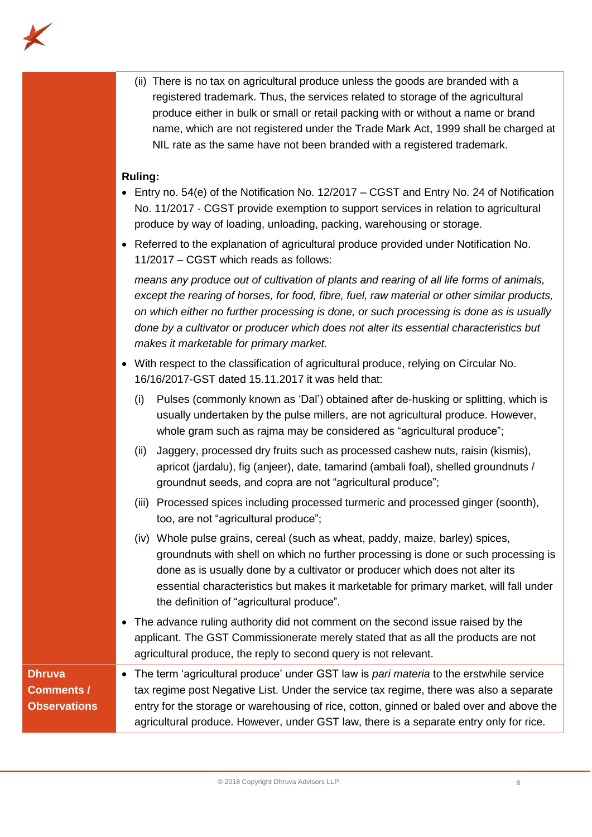

(ii) There is no tax on agricultural produce unless the goods are branded with a registered trademark. Thus, the services related to storage of the agricultural produce either in bulk or small or retail packing with or without a name or brand name, which are not registered under the Trade Mark Act, 1999 shall be charged at NIL rate as the same have not been branded with a registered trademark.

## **Ruling:**

- Entry no. 54(e) of the Notification No. 12/2017 CGST and Entry No. 24 of Notification No. 11/2017 - CGST provide exemption to support services in relation to agricultural produce by way of loading, unloading, packing, warehousing or storage.
- Referred to the explanation of agricultural produce provided under Notification No. 11/2017 – CGST which reads as follows:

*means any produce out of cultivation of plants and rearing of all life forms of animals, except the rearing of horses, for food, fibre, fuel, raw material or other similar products, on which either no further processing is done, or such processing is done as is usually done by a cultivator or producer which does not alter its essential characteristics but makes it marketable for primary market.*

- With respect to the classification of agricultural produce, relying on Circular No. 16/16/2017-GST dated 15.11.2017 it was held that:
	- (i) Pulses (commonly known as 'Dal') obtained after de-husking or splitting, which is usually undertaken by the pulse millers, are not agricultural produce. However, whole gram such as rajma may be considered as "agricultural produce";
	- (ii) Jaggery, processed dry fruits such as processed cashew nuts, raisin (kismis), apricot (jardalu), fig (anjeer), date, tamarind (ambali foal), shelled groundnuts / groundnut seeds, and copra are not "agricultural produce";
	- (iii) Processed spices including processed turmeric and processed ginger (soonth), too, are not "agricultural produce";
	- (iv) Whole pulse grains, cereal (such as wheat, paddy, maize, barley) spices, groundnuts with shell on which no further processing is done or such processing is done as is usually done by a cultivator or producer which does not alter its essential characteristics but makes it marketable for primary market, will fall under the definition of "agricultural produce".
- The advance ruling authority did not comment on the second issue raised by the applicant. The GST Commissionerate merely stated that as all the products are not agricultural produce, the reply to second query is not relevant.

## **Dhruva Comments / Observations**

• The term 'agricultural produce' under GST law is *pari materia* to the erstwhile service tax regime post Negative List. Under the service tax regime, there was also a separate entry for the storage or warehousing of rice, cotton, ginned or baled over and above the agricultural produce. However, under GST law, there is a separate entry only for rice.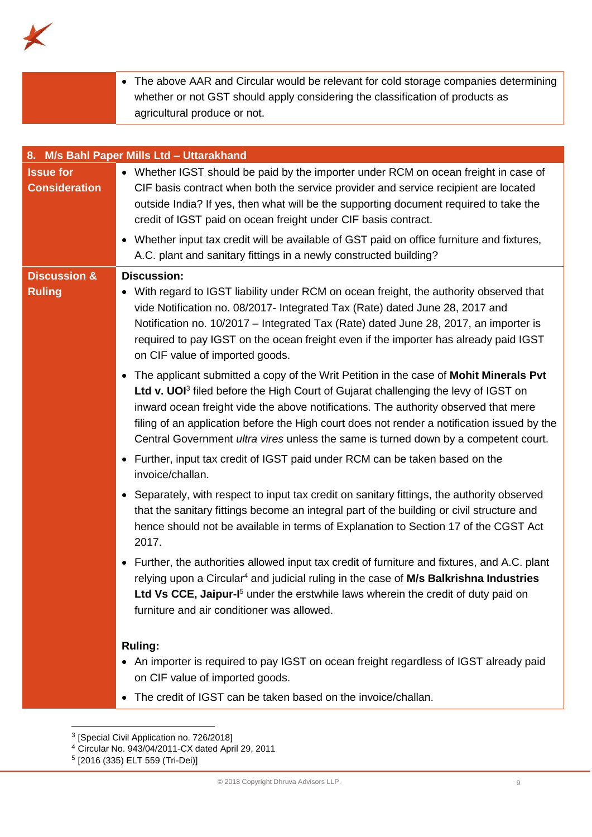

|                                           | • The above AAR and Circular would be relevant for cold storage companies determining                 |  |
|-------------------------------------------|-------------------------------------------------------------------------------------------------------|--|
|                                           | whether or not GST should apply considering the classification of products as                         |  |
|                                           | agricultural produce or not.                                                                          |  |
|                                           |                                                                                                       |  |
|                                           |                                                                                                       |  |
| 8. M/s Bahl Paper Mills Ltd - Uttarakhand |                                                                                                       |  |
| <b>Issue for</b>                          | • Whether IGST should be paid by the importer under RCM on ocean freight in case of                   |  |
| <b>A</b> constitution of the              | AIF beets a consecutively on benth the complex mass detailed and complex as abstract and the critical |  |

| <b>Consideration</b>                     | CIF basis contract when both the service provider and service recipient are located<br>outside India? If yes, then what will be the supporting document required to take the<br>credit of IGST paid on ocean freight under CIF basis contract.                                                                                                                                                                                                                                                                                                         |
|------------------------------------------|--------------------------------------------------------------------------------------------------------------------------------------------------------------------------------------------------------------------------------------------------------------------------------------------------------------------------------------------------------------------------------------------------------------------------------------------------------------------------------------------------------------------------------------------------------|
|                                          | • Whether input tax credit will be available of GST paid on office furniture and fixtures,<br>A.C. plant and sanitary fittings in a newly constructed building?                                                                                                                                                                                                                                                                                                                                                                                        |
| <b>Discussion &amp;</b><br><b>Ruling</b> | <b>Discussion:</b><br>• With regard to IGST liability under RCM on ocean freight, the authority observed that<br>vide Notification no. 08/2017- Integrated Tax (Rate) dated June 28, 2017 and<br>Notification no. 10/2017 - Integrated Tax (Rate) dated June 28, 2017, an importer is<br>required to pay IGST on the ocean freight even if the importer has already paid IGST<br>on CIF value of imported goods.                                                                                                                                       |
|                                          | • The applicant submitted a copy of the Writ Petition in the case of Mohit Minerals Pvt<br>Ltd v. UOI <sup>3</sup> filed before the High Court of Gujarat challenging the levy of IGST on<br>inward ocean freight vide the above notifications. The authority observed that mere<br>filing of an application before the High court does not render a notification issued by the<br>Central Government ultra vires unless the same is turned down by a competent court.<br>• Further, input tax credit of IGST paid under RCM can be taken based on the |
|                                          | invoice/challan.<br>• Separately, with respect to input tax credit on sanitary fittings, the authority observed<br>that the sanitary fittings become an integral part of the building or civil structure and<br>hence should not be available in terms of Explanation to Section 17 of the CGST Act<br>2017.                                                                                                                                                                                                                                           |
|                                          | • Further, the authorities allowed input tax credit of furniture and fixtures, and A.C. plant<br>relying upon a Circular <sup>4</sup> and judicial ruling in the case of M/s Balkrishna Industries<br>Ltd Vs CCE, Jaipur-I <sup>5</sup> under the erstwhile laws wherein the credit of duty paid on<br>furniture and air conditioner was allowed.                                                                                                                                                                                                      |
|                                          | <b>Ruling:</b><br>• An importer is required to pay IGST on ocean freight regardless of IGST already paid<br>on CIF value of imported goods.                                                                                                                                                                                                                                                                                                                                                                                                            |

• The credit of IGST can be taken based on the invoice/challan.

 3 [Special Civil Application no. 726/2018]

<sup>4</sup> Circular No. 943/04/2011-CX dated April 29, 2011

<sup>5</sup> [2016 (335) ELT 559 (Tri-Dei)]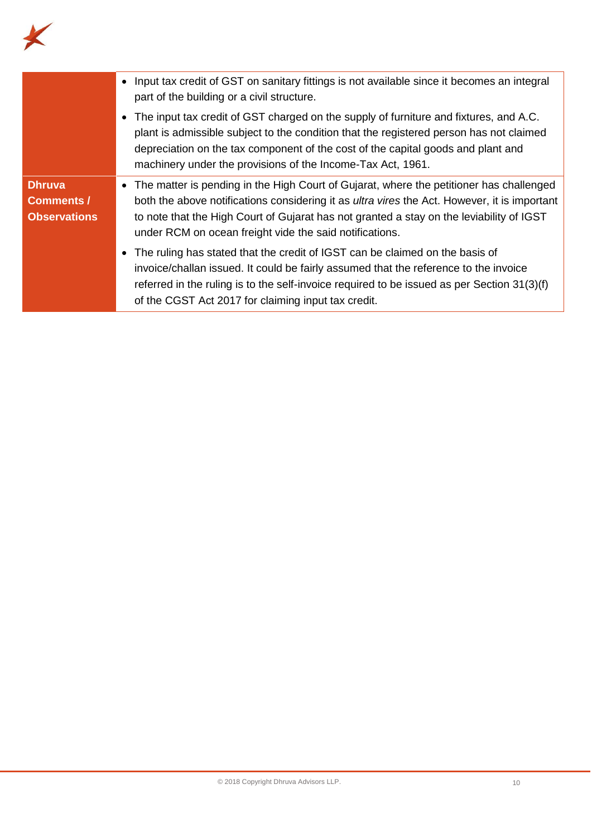

|                                                           | • Input tax credit of GST on sanitary fittings is not available since it becomes an integral<br>part of the building or a civil structure.                                                                                                                                                                                                              |
|-----------------------------------------------------------|---------------------------------------------------------------------------------------------------------------------------------------------------------------------------------------------------------------------------------------------------------------------------------------------------------------------------------------------------------|
|                                                           | • The input tax credit of GST charged on the supply of furniture and fixtures, and A.C.<br>plant is admissible subject to the condition that the registered person has not claimed<br>depreciation on the tax component of the cost of the capital goods and plant and<br>machinery under the provisions of the Income-Tax Act, 1961.                   |
| <b>Dhruva</b><br><b>Comments /</b><br><b>Observations</b> | • The matter is pending in the High Court of Gujarat, where the petitioner has challenged<br>both the above notifications considering it as <i>ultra vires</i> the Act. However, it is important<br>to note that the High Court of Gujarat has not granted a stay on the leviability of IGST<br>under RCM on ocean freight vide the said notifications. |
|                                                           | • The ruling has stated that the credit of IGST can be claimed on the basis of<br>invoice/challan issued. It could be fairly assumed that the reference to the invoice<br>referred in the ruling is to the self-invoice required to be issued as per Section 31(3)(f)<br>of the CGST Act 2017 for claiming input tax credit.                            |